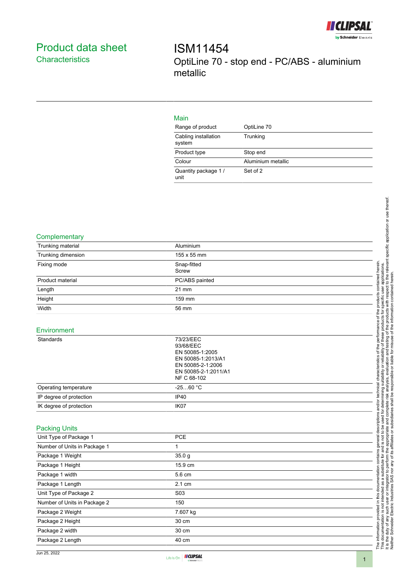

# <span id="page-0-0"></span>Product data sheet **Characteristics**

ISM11454 OptiLine 70 - stop end - PC/ABS - aluminium metallic

## Main

| Range of product               | OptiLine 70        |
|--------------------------------|--------------------|
| Cabling installation<br>system | Trunking           |
| Product type                   | Stop end           |
| Colour                         | Aluminium metallic |
| Quantity package 1/<br>unit    | Set of 2           |

#### **Complementary**

| Trunking material            | Aluminium                                                                                                                   |  |
|------------------------------|-----------------------------------------------------------------------------------------------------------------------------|--|
| Trunking dimension           | 155 x 55 mm                                                                                                                 |  |
| Fixing mode                  | Snap-fitted                                                                                                                 |  |
|                              | Screw                                                                                                                       |  |
| Product material             | PC/ABS painted                                                                                                              |  |
| Length                       | 21 mm                                                                                                                       |  |
| Height                       | 159 mm                                                                                                                      |  |
| Width                        | 56 mm                                                                                                                       |  |
| Environment                  |                                                                                                                             |  |
| Standards                    | 73/23/EEC<br>93/68/EEC<br>EN 50085-1:2005<br>EN 50085-1:2013/A1<br>EN 50085-2-1:2006<br>EN 50085-2-1:2011/A1<br>NF C 68-102 |  |
| Operating temperature        | $-2560 °C$                                                                                                                  |  |
| IP degree of protection      | <b>IP40</b>                                                                                                                 |  |
| IK degree of protection      | IK07                                                                                                                        |  |
| <b>Packing Units</b>         |                                                                                                                             |  |
| Unit Type of Package 1       | PCE                                                                                                                         |  |
| Number of Units in Package 1 | 1                                                                                                                           |  |
| Package 1 Weight             | 35.0 <sub>g</sub>                                                                                                           |  |
| Package 1 Height             | 15.9 cm                                                                                                                     |  |
| Package 1 width              | 5.6 cm                                                                                                                      |  |
| Package 1 Length             | 2.1 cm                                                                                                                      |  |

Unit Type of Package 2 S03 Number of Units in Package 2 150 Package 2 Weight 7.607 kg Package 2 Height 30 cm Package 2 width 30 cm Package 2 Length 40 cm